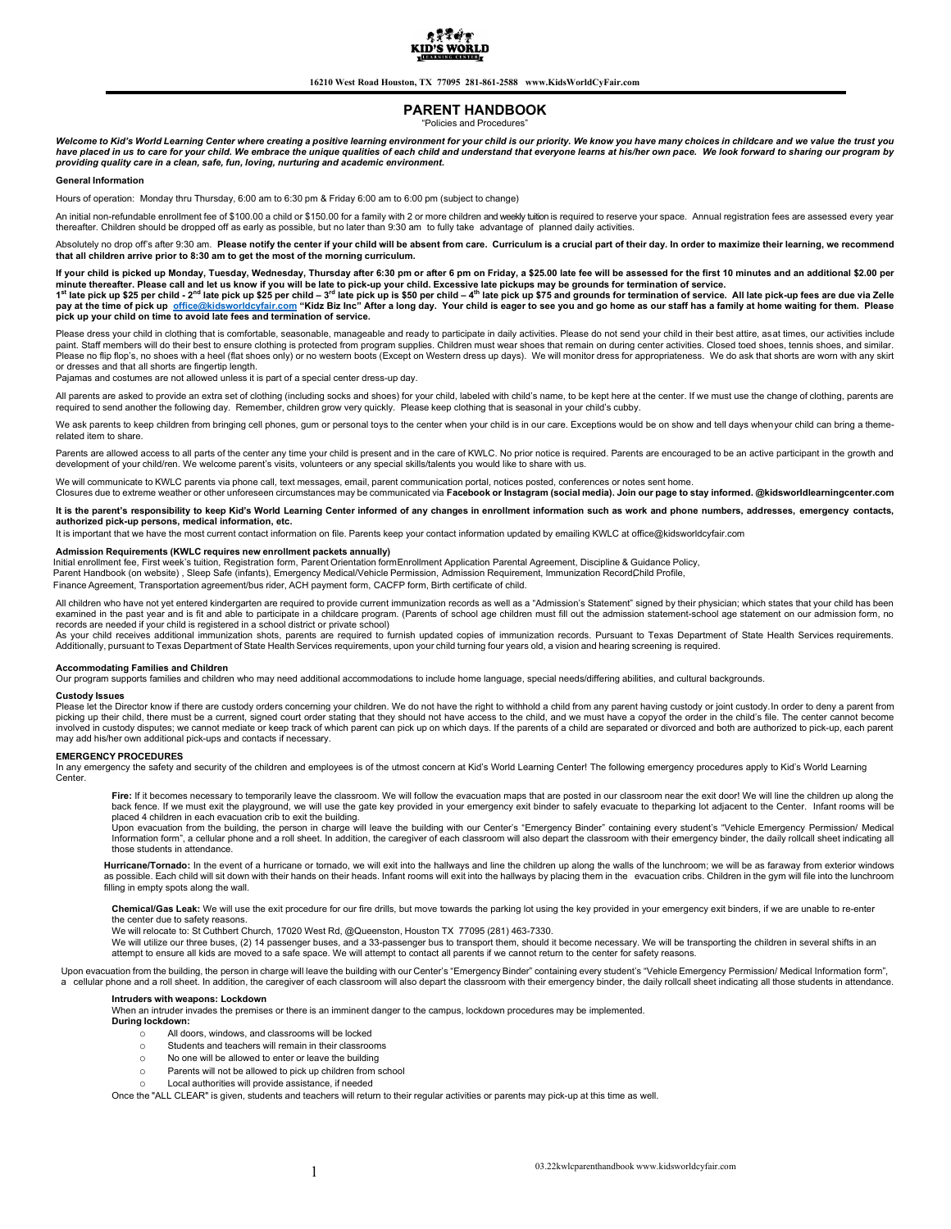

16210 West Road Houston, TX 77095 281-861-2588 www.KidsWorldCyFair.com

# PARENT HANDBOOK

"Policies and Procedures"

Welcome to Kid's World Learning Center where creating a positive learning environment for your child is our priority. We know you have many choices in childcare and we value the trust you have placed in us to care for your child. We embrace the unique qualities of each child and understand that everyone learns at his/her own pace. We look forward to sharing our program by providing quality care in a clean, safe, fun, loving, nurturing and academic environment.

# General Information

Hours of operation: Monday thru Thursday, 6:00 am to 6:30 pm & Friday 6:00 am to 6:00 pm (subject to change)

An initial non-refundable enrollment fee of \$100.00 a child or \$150.00 for a family with 2 or more children and weekly tuition is required to reserve your space. Annual registration fees are assessed every year thereafter. Children should be dropped off as early as possible, but no later than 9:30 am to fully take advantage of planned daily activities.

Absolutely no drop off's after 9:30 am. Please notify the center if your child will be absent from care. Curriculum is a crucial part of their day. In order to maximize their learning, we recommend that all children arrive prior to 8:30 am to get the most of the morning curriculum.

lf your child is picked up Monday, Tuesday, Wednesday, Thursday after 6:30 pm or after 6 pm on Friday, a \$25.00 late fee will be assessed for the first 10 minutes and an additional \$2.00 per<br>minute thereafter. Please call pay at the time of pick up office@kidsworldcyfair.com "Kidz Biz Inc" After a long day. Your child is eager to see you and go home as our staff has a family at home waiting for them. Please

pick up your child on time to avoid late fees and termination of service.

Please dress your child in clothing that is comfortable, seasonable, manageable and ready to participate in daily activities. Please do not send your child in their best attire, as at times, our activities include<br>paint. S Please no flip flop's, no shoes with a heel (flat shoes only) or no western boots (Except on Western dress up days). We will monitor dress for appropriateness. We do ask that shorts are worn with any skirt or dresses and that all shorts are fingertip length.

Pajamas and costumes are not allowed unless it is part of a special center dress-up day.

All parents are asked to provide an extra set of clothing (including socks and shoes) for your child, labeled with child's name, to be kept here at the center. If we must use the change of clothing, parents are required to send another the following day. Remember, children grow very quickly. Please keep clothing that is seasonal in your child's cubby.

We ask parents to keep children from bringing cell phones, gum or personal toys to the center when your child is in our care. Exceptions would be on show and tell days when your child can bring a themerelated item to share.

Parents are allowed access to all parts of the center any time your child is present and in the care of KWLC. No prior notice is required. Parents are encouraged to be an active participant in the growth and development of your child/ren. We welcome parent's visits, volunteers or any special skills/talents you would like to share with us.

We will communicate to KWLC parents via phone call, text messages, email, parent communication portal, notices posted, conferences or notes sent home.<br>Closures due to extreme weather or other unforeseen circumstances may b

It is the parent's responsibility to keep Kid's World Learning Center informed of any changes in enrollment information such as work and phone numbers, addresses, emergency contacts, authorized pick-up persons, medical information, etc.

It is important that we have the most current contact information on file. Parents keep your contact information updated by emailing KWLC at office@kidsworldcyfair.com

Admission Requirements (KWLC requires new enrollment packets annually)<br>Initial enrollment fee, First week's tuition, Registration form, Parent Orientation formEnrollment Application Parental Agreement, Discipline & Guidanc Parent Handbook (on website) , Sleep Safe (infants), Emergency Medical/Vehicle Permission, Admission Requirement, Immunization RecordChild Profile, Finance Agreement, Transportation agreement/bus rider, ACH payment form, CACFP form, Birth certificate of child.

All children who have not yet entered kindergarten are required to provide current immunization records as well as a "Admission's Statement" signed by their physician; which states that your child has been examined in the past year and is fit and able to participate in a childcare program. (Parents of school age children must fill out the admission statement-school age statement on our admission form, no

records are needed if your child is registered in a school district or private school)<br>As your child receives additional immunization shots, parents are required to furnish updated copies of immunization records. Pursuant Additionally, pursuant to Texas Department of State Health Services requirements, upon your child turning four years old, a vision and hearing screening is required.

#### Accommodating Families and Children

Our program supports families and children who may need additional accommodations to include home language, special needs/differing abilities, and cultural backgrounds.

# Custody Issues

Please let the Director know if there are custody orders concerning your children. We do not have the right to withhold a child from any parent having custody or joint custody.In order to deny a parent from<br>picking up thei involved in custody disputes; we cannot mediate or keep track of which parent can pick up on which days. If the parents of a child are separated or divorced and both are authorized to pick-up, each parent may add his/her own additional pick-ups and contacts if necessary.

#### EMERGENCY PROCEDURES

In any emergency the safety and security of the children and employees is of the utmost concern at Kid's World Learning Center! The following emergency procedures apply to Kid's World Learning Center.

**Fire:** If it becomes necessary to temporarily leave the classroom. We will follow the evacuation maps that are posted in our classroom near the exit door! We will line the children up along the<br>back fence. If we must exit

placed 4 children in each evacuation crib to exit the building.<br>Upon evacuation from the building, the person in charge will leave the building with our Center's "Emergency Binder" containing every student's "Vehicle Emerg Information form", a cellular phone and a roll sheet. In addition, the caregiver of each classroom will also depart the classroom with their emergency binder, the daily rollcall sheet indicating all those students in attendance.

Hurricane/Tornado: In the event of a hurricane or tornado, we will exit into the hallways and line the children up along the walls of the lunchroom; we will be as faraway from exterior windows as possible. Each child will sit down with their hands on their heads. Infant rooms will exit into the hallways by placing them in the evacuation cribs. Children in the gym will file into the lunchroom filling in empty spots along the wall.

Chemical/Gas Leak: We will use the exit procedure for our fire drills, but move towards the parking lot using the key provided in your emergency exit binders, if we are unable to re-enter the center due to safety reasons.

We will relocate to: St Cuthbert Church, 17020 West Rd, @Queenston, Houston TX 77095 (281) 463-7330.

We will utilize our three buses, (2) 14 passenger buses, and a 33-passenger bus to transport them, should it become necessary. We will be transporting the children in several shifts in an attempt to ensure all kids are moved to a safe space. We will attempt to contact all parents if we cannot return to the center for safety reasons.

Upon evacuation from the building, the person in charge will leave the building with our Center's "Emergency Binder" containing every student's "Vehicle Emergency Permission/ Medical Information form", a cellular phone and a roll sheet. In addition, the caregiver of each classroom will also depart the classroom with their emergency binder, the daily rollcall sheet indicating all those students in attendance.

# Intruders with weapons: Lockdown

When an intruder invades the premises or there is an imminent danger to the campus, lockdown procedures may be implemented.

- During lockdown:
	- o All doors, windows, and classrooms will be locked
	- o Students and teachers will remain in their classrooms
	- o No one will be allowed to enter or leave the building
	- o Parents will not be allowed to pick up children from school
	- o Local authorities will provide assistance, if needed

Once the "ALL CLEAR" is given, students and teachers will return to their regular activities or parents may pick-up at this time as well.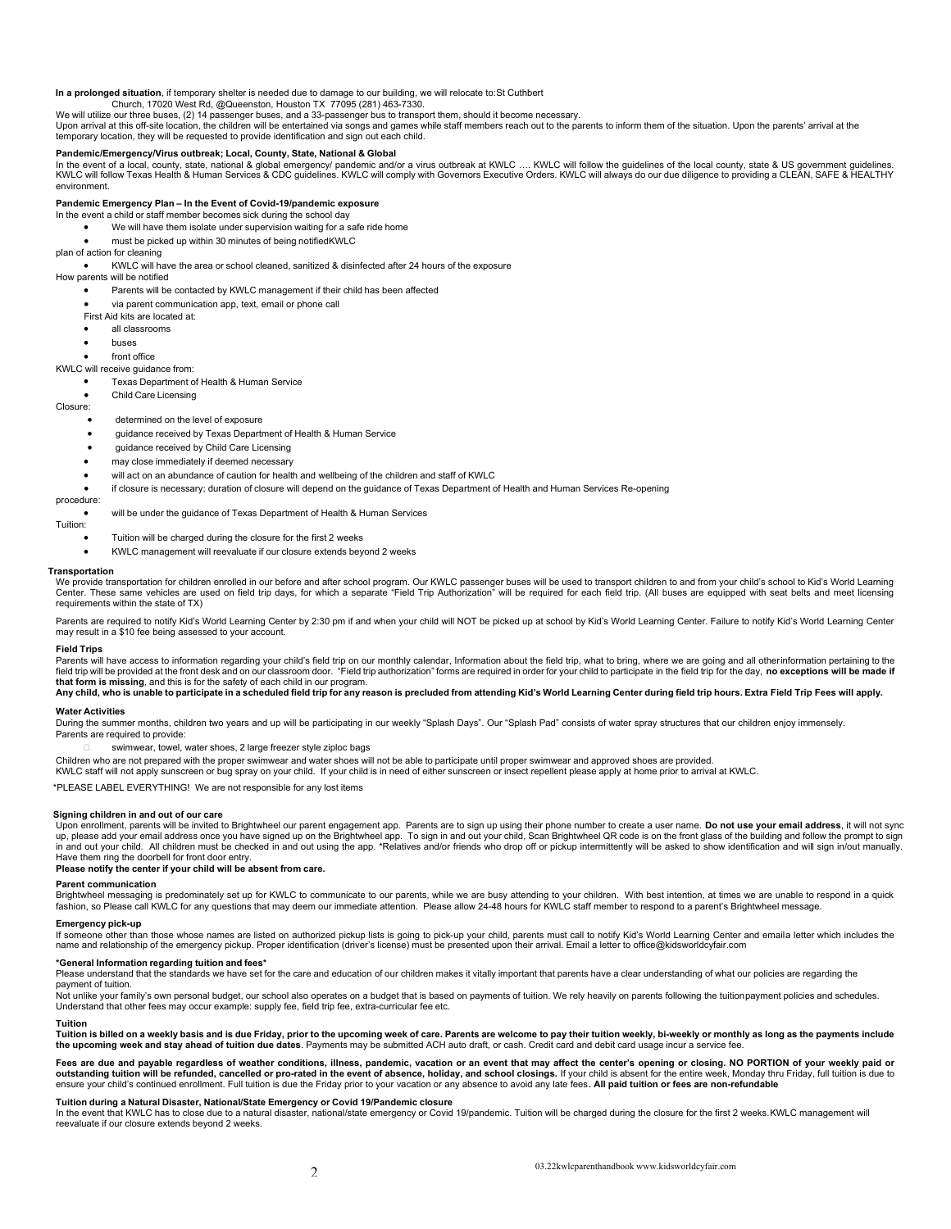# In a prolonged situation, if temporary shelter is needed due to damage to our building, we will relocate to: St Cuthbert Cuthbert Cuthbert Cuthbert Cuthbert Cuthbert Cuthbert Cuthbert Cuthbert Cuthbert Cuthbert Cuthbert Cu

We will utilize our three buses, (2) 14 passenger buses, and a 33-passenger bus to transport them, should it become necessary.

Upon arrival at this off-site location, the children will be entertained via songs and games while staff members reach out to the parents to inform them of the situation. Upon the parents' arrival at the temporary location, they will be requested to provide identification and sign out each child.

# Pandemic/Emergency/Virus outbreak; Local, County, State, National & Global

In the event of a local, county, state, national & global emergency/ pandemic and/or a virus outbreak at KWLC …. KWLC will follow the guidelines of the local county, state & US government guidelines.<br>KWLC will follow Texas environment.

# Pandemic Emergency Plan – In the Event of Covid-19/pandemic exposure

In the event a child or staff member becomes sick during the school day

- We will have them isolate under supervision waiting for a safe ride home
- must be picked up within 30 minutes of being notified KWLC

plan of action for cleaning

KWLC will have the area or school cleaned, sanitized & disinfected after 24 hours of the exposure

How parents will be notified

- Parents will be contacted by KWLC management if their child has been affected
- via parent communication app, text, email or phone call
- First Aid kits are located at:
- all classrooms
- **buses buses**
- front office

KWLC will receive guidance from:

# Texas Department of Health & Human Service

Child Care Licensing

Closure:

### determined on the level of exposure

- guidance received by Texas Department of Health & Human Service
- guidance received by Child Care Licensing
- may close immediately if deemed necessary
- will act on an abundance of caution for health and wellbeing of the children and staff of KWLC
- if closure is necessary; duration of closure will depend on the guidance of Texas Department of Health and Human Services Re-opening

# procedure:

will be under the guidance of Texas Department of Health & Human Services

# Tuition:

- Tuition will be charged during the closure for the first 2 weeks
- KWLC management will reevaluate if our closure extends beyond 2 weeks

#### Transportation

We provide transportation for children enrolled in our before and after school program. Our KWLC passenger buses will be used to transport children to and from your child's school to Kid's World Learning Center. These same vehicles are used on field trip days, for which a separate "Field Trip Authorization" will be required for each field trip. (All buses are equipped with seat belts and meet licensing requirements within the state of TX)

Parents are required to notify Kid's World Learning Center by 2:30 pm if and when your child will NOT be picked up at school by Kid's World Learning Center. Failure to notify Kid's World Learning Center may result in a \$10 fee being assessed to your account.

#### Field Trips

Parents will have access to information regarding your child's field trip on our monthly calendar, Information about the field trip, what to bring, where we are going and all other information pertaining to the field trip will be provided at the front desk and on our classroom door. "Field trip authorization" forms are required in order for your child to participate in the field trip for the day, no exceptions will be made if that form is missing, and this is for the safety of each child in our program.<br>Any child, who is unable to participate in a scheduled field trip for any reason is precluded from attending Kid's World Learning Center during

# Water Activities

During the summer months, children two years and up will be participating in our weekly "Splash Days". Our "Splash Pad" consists of water spray structures that our children enjoy immensely. Parents are required to provide:

- swimwear, towel, water shoes, 2 large freezer style ziploc bags
- Children who are not prepared with the proper swimwear and water shoes will not be able to participate until proper swimwear and approved shoes are provided.
- KWLC staff will not apply sunscreen or bug spray on your child. If your child is in need of either sunscreen or insect repellent please apply at home prior to arrival at KWLC.

\*PLEASE LABEL EVERYTHING! We are not responsible for any lost items

#### Signing children in and out of our care

Upon enrollment, parents will be invited to Brightwheel our parent engagement app. Parents are to sign up using their phone number to create a user name. **Do not use your email address**, it will not sync<br>up, please add you in and out your child. All children must be checked in and out using the app. \*Relatives and/or friends who drop off or pickup intermittently will be asked to show identification and will sign in/out manually. Have them ring the doorbell for front door entry.

# Please notify the center if your child will be absent from care.

## Parent communication

Brightwheel messaging is predominately set up for KWLC to communicate to our parents, while we are busy attending to your children. With best intention, at times we are unable to respond in a quick<br>fashion, so Please call

### Emergency pick-up

If someone other than those whose names are listed on authorized pickup lists is going to pick-up your child, parents must call to notify Kid's World Learning Center and emaila letter which includes the name and relationship of the emergency pickup. Proper identification (driver's license) must be presented upon their arrival. Email a letter to office@kidsworldcyfair.com

# \*General Information regarding tuition and fees\*

Please understand that the standards we have set for the care and education of our children makes it vitally important that parents have a clear understanding of what our policies are regarding the

#### payment of tuition.

Not unlike your family's own personal budget, our school also operates on a budget that is based on payments of tuition. We rely heavily on parents following the tuition payment policies and schedules. Understand that other fees may occur example: supply fee, field trip fee, extra-curricular fee etc.

### Tuition

Tuition is billed on a weekly basis and is due Friday, prior to the upcoming week of care. Parents are welcome to pay their tuition weekly, bi-weekly or monthly as long as the payments include<br>the upcoming week and stay ah

Fees are due and payable regardless of weather conditions, illness, pandemic, vacation or an event that may affect the center's opening or closing. NO PORTION of your weekly paid or outstanding tuition will be refunded, cancelled or pro-rated in the event of absence, holiday, and school closings. If your child is absent for the entire week, Monday thru Friday, full tuition is due to ensure your child's continued enrollment. Full tuition is due the Friday prior to your vacation or any absence to avoid any late fees. All paid tuition or fees are non-refundable

# Tuition during a Natural Disaster, National/State Emergency or Covid 19/Pandemic closure

In the event that KWLC has to close due to a natural disaster, national/state emergency or Covid 19/pandemic. Tuition will be charged during the closure for the first 2 weeks.KWLC management will<br>reevaluate if our closure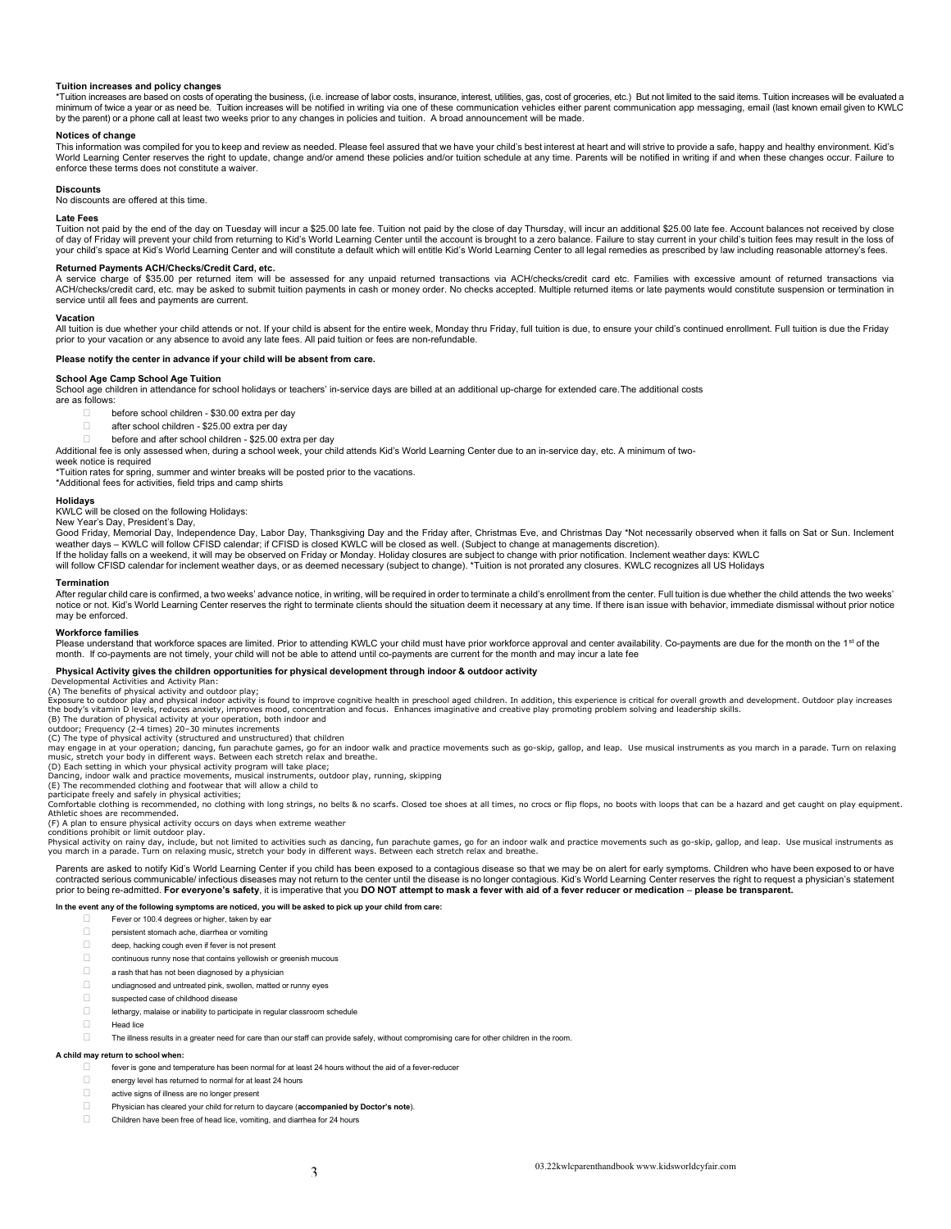# Tuition increases and policy changes

\*Tuition increases are based on costs of operating the business, (i.e. increase of labor costs, insurance, interest, utilities, gas, cost of groceries, etc.) But not limited to the said items. Tuition increases will be eva minimum of twice a year or as need be. Tuition increases will be notified in writing via one of these communication vehicles either parent communication app messaging, email (last known email given to KWLC by the parent) or a phone call at least two weeks prior to any changes in policies and tuition. A broad announcement will be made.

### Notices of change

This information was compiled for you to keep and review as needed. Please feel assured that we have your child's best interest at heart and will strive to provide a safe, happy and healthy environment. Kid's World Learning Center reserves the right to update, change and/or amend these policies and/or tuition schedule at any time. Parents will be notified in writing if and when these changes occur. Failure to enforce these terms does not constitute a waiver.

#### **Discounts**

No discounts are offered at this time.

### Late Fees

Tuition not paid by the end of the day on Tuesday will incur a \$25.00 late fee. Tuition not paid by the close of day Thursday, will incur an additional \$25.00 late fee. Account balances not received by close of day of Friday will prevent your child from returning to Kid's World Learning Center until the account is brought to a zero balance. Failure to stay current in your child's tuition fees may result in the loss of<br>your chi

### Returned Payments ACH/Checks/Credit Card, etc.

A service charge of \$35.00 per returned item will be assessed for any unpaid returned transactions via ACH/checks/credit card etc. Families with excessive amount of returned transactions via ACH/checks/credit card, etc. may be asked to submit tuition payments in cash or money order. No checks accepted. Multiple returned items or late payments would constitute suspension or termination in service until all fees and payments are current.

#### Vacation

All tuition is due whether your child attends or not. If your child is absent for the entire week, Monday thru Friday, full tuition is due, to ensure your child's continued enrollment. Full tuition is due the Friday prior to your vacation or any absence to avoid any late fees. All paid tuition or fees are non-refundable.

# Please notify the center in advance if your child will be absent from care.

#### School Age Camp School Age Tuition

School age children in attendance for school holidays or teachers' in-service days are billed at an additional up-charge for extended care. The additional costs are as follows:

- before school children \$30.00 extra per day
- □ after school children \$25.00 extra per day
- before and after school children \$25.00 extra per day

Additional fee is only assessed when, during a school week, your child attends Kid's World Learning Center due to an in-service day, etc. A minimum of two-

# week notice is required

\*Tuition rates for spring, summer and winter breaks will be posted prior to the vacations. \*Additional fees for activities, field trips and camp shirts

# Holidays

KWLC will be closed on the following Holidays:

### New Year's Day, President's Day,

Good Friday, Memorial Day, Independence Day, Labor Day, Thanksgiving Day and the Friday after, Christmas Eve, and Christmas Day \*Not necessarily observed when it falls on Sat or Sun. Inclement weather days – KWLC will follow CFISD calendar; if CFISD is closed KWLC will be closed as well. (Subject to change at managements discretion).

lf the holiday falls on a weekend, it will may be observed on Friday or Monday. Holiday closures are subject to change with prior notification. Inclement weather days: KWLC<br>will follow CFISD calendar for inclement weather

#### Termination

After regular child care is confirmed, a two weeks' advance notice, in writing, will be required in order to terminate a child's enrollment from the center. Full tuition is due whether the child attends the two weeks' notice or not. Kid's World Learning Center reserves the right to terminate clients should the situation deem it necessary at any time. If there is an issue with behavior, immediate dismissal without prior notice may be enforced.

#### Workforce families

Please understand that workforce spaces are limited. Prior to attending KWLC your child must have prior workforce approval and center availability. Co-payments are due for the month on the 1<sup>st</sup> of the month. If co-payments are not timely, your child will not be able to attend until co-payments are current for the month and may incur a late fee

# Physical Activity gives the children opportunities for physical development through indoor & outdoor activity

lopmental Activities and Activity Plan: (A) The benefits of physical activity and outdoor play;

Exposure to outdoor play and physical indoor activity is found to improve cognitive health in preschool aged children. In addition, this experience is critical for overall growth and development. Outdoor play increases<br>the

(B) The duration of physical activity at your operation, both indoor and outdoor; Frequency (2-4 times) 20–30 minutes increments (C) The type of physical activity (structured and unstructured) that children

may engage in at your operation; dancing, fun parachute games, go for an indoor walk and practice movements such as go-skip, gallop, and leap. Use musical instruments as you march in a parade. Turn on relaxing<br>music, stre

Dancing, indoor walk and practice movements, musical instruments, outdoor play, running, skipping

(E) The recommended clothing and footwear that will allow a child to participate freely and safely in physical activities;

Comfortable clothing is recommended, no clothing with long strings, no belts & no scarfs. Closed toe shoes at all times, no crocs or flip flops, no boots with loops that can be a hazard and get caught on play equipment. Athletic shoes are recommended. (F) A plan to ensure physical activity occurs on days when extreme weather

conditions prohibit or limit outdoor play.<br>Physical activity on rainy day, include, but not limited to activities such as dancing, fun parachute games, go for an indoor walk and practice movements such as go-skip, gallop,

Parents are asked to notify Kid's World Learning Center if you child has been exposed to a contagious disease so that we may be on alert for early symptoms. Children who have been exposed to or have contracted serious communicable/ infectious diseases may not return to the center until the disease is no longer contagious. Kid's World Learning Center reserves the right to request a physician's statement<br>prior to being

#### In the event any of the following symptoms are noticed, you will be asked to pick up your child from care:

- Fever or 100.4 degrees or higher, taken by ear
- persistent stomach ache, diarrhea or vomiting
- deep, hacking cough even if fever is not present
- continuous runny nose that contains yellowish or greenish mucous
- $\Box$  a rash that has not been diagnosed by a physician
- $\Box$  undiagnosed and untreated pink, swollen, matted or runny eyes
- suspected case of childhood disease
- lethargy, malaise or inability to participate in regular classroom schedule
- **Head lice Head lice Head is a structure of the structure of the structure of the structure of the structure of the structure of the structure of the structure of the structure of the structure of the structure of the**
- The illness results in a greater need for care than our staff can provide safely, without compromising care for other children in the room.

# A child may return to school when:

- fever is gone and temperature has been normal for at least 24 hours without the aid of a fever-reducer
- energy level has returned to normal for at least 24 hours
- active signs of illness are no longer present
- Physician has cleared your child for return to daycare (accompanied by Doctor's note).
- Children have been free of head lice, vomiting, and diarrhea for 24 hours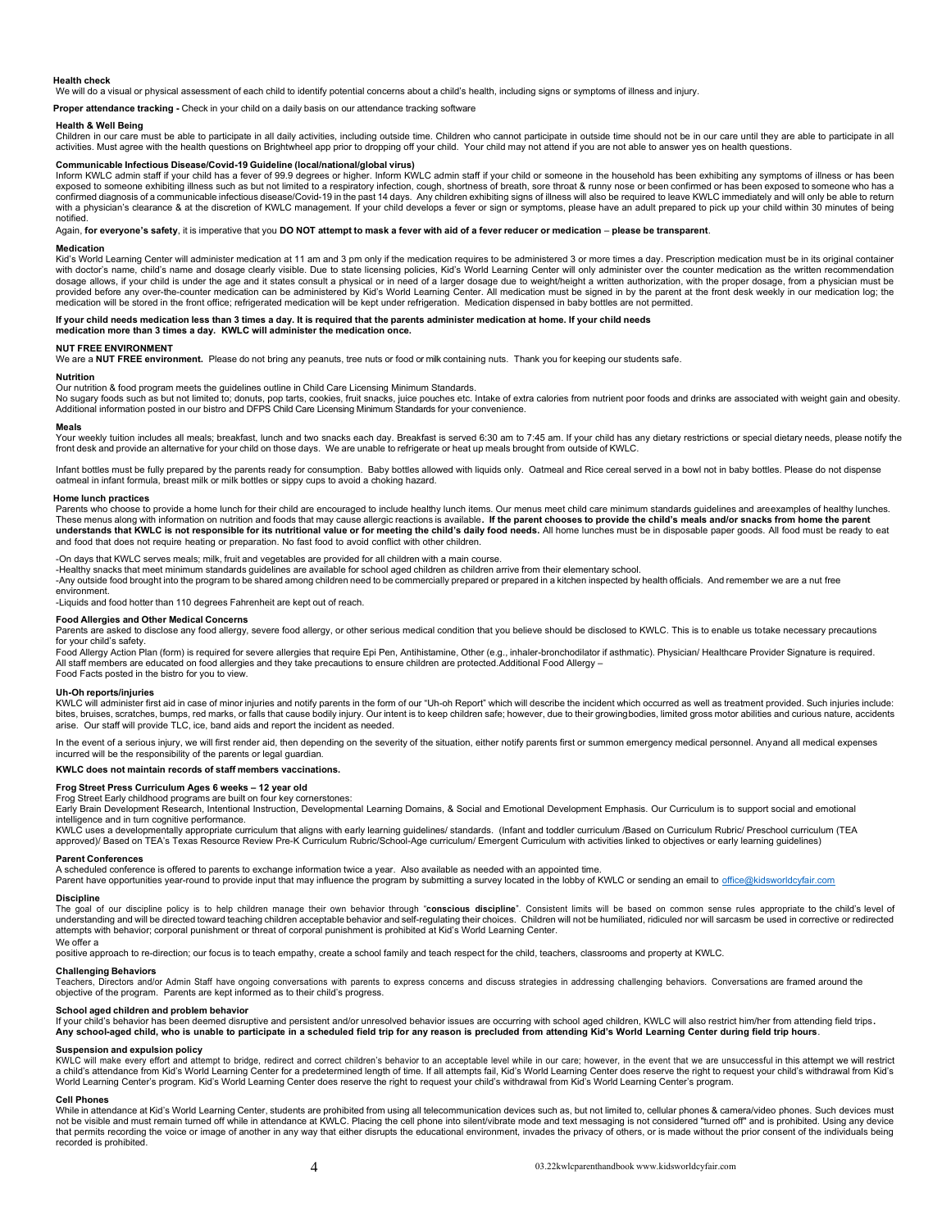#### Health check

We will do a visual or physical assessment of each child to identify potential concerns about a child's health, including signs or symptoms of illness and injury.

Proper attendance tracking - Check in your child on a daily basis on our attendance tracking software

# Health & Well Being

Children in our care must be able to participate in all daily activities, including outside time. Children who cannot participate in outside time should not be in our care until they are able to participate in all activities. Must agree with the health questions on Brightwheel app prior to dropping off your child. Your child may not attend if you are not able to answer yes on health questions.

# Communicable Infectious Disease/Covid-19 Guideline (local/national/global virus)

Inform KWLC admin staff if your child has a fever of 99.9 degrees or higher. Inform KWLC admin staff if your child or someone in the household has been exhibiting any symptoms of illness or has been<br>exposed to someone exh with a physician's clearance & at the discretion of KWLC management. If your child develops a fever or sign or symptoms, please have an adult prepared to pick up your child within 30 minutes of being notified.

Again, for everyone's safety, it is imperative that you DO NOT attempt to mask a fever with aid of a fever reducer or medication - please be transparent.

#### **Medication**

Kid's World Learning Center will administer medication at 11 am and 3 pm only if the medication requires to be administered 3 or more times a day. Prescription medication must be in its original container with doctor's name, child's name and dosage clearly visible. Due to state licensing policies, Kid's World Learning Center will only administer over the counter medication as the written recommendation dosage allows, if your child is under the age and it states consult a physical or in need of a larger dosage due to weight/height a written authorization, with the proper dosage, from a physician must be<br>provided before an medication will be stored in the front office; refrigerated medication will be kept under refrigeration. Medication dispensed in baby bottles are not permitted.

# If your child needs medication less than 3 times a day. It is required that the parents administer medication at home. If your child needs

medication more than 3 times a day. KWLC will administer the medication once.

# NUT FREE ENVIRONMENT

We are a NUT FREE environment. Please do not bring any peanuts, tree nuts or food or milk containing nuts. Thank you for keeping our students safe.

## Nutrition

Our nutrition & food program meets the guidelines outline in Child Care Licensing Minimum Standards.<br>No sugary foods such as but not limited to; donuts, pop tarts, cookies, fruit snacks, juice pouches etc. Intake of extra Additional information posted in our bistro and DFPS Child Care Licensing Minimum Standards for your convenience.

#### Meals

Your weekly tuition includes all meals; breakfast, lunch and two snacks each day. Breakfast is served 6:30 am to 7:45 am. If your child has any dietary restrictions or special dietary needs, please notify the front desk and provide an alternative for your child on those days. We are unable to refrigerate or heat up meals brought from outside of KWLC.

Infant bottles must be fully prepared by the parents ready for consumption. Baby bottles allowed with liquids only. Oatmeal and Rice cereal served in a bowl not in baby bottles. Please do not dispense oatmeal in infant formula, breast milk or milk bottles or sippy cups to avoid a choking hazard.

#### Home lunch practices

Parents who choose to provide a home lunch for their child are encouraged to include healthy lunch items. Our menus meet child care minimum standards quidelines and are examples of healthy lunches. These menus along with information on nutrition and foods that may cause allergic reactions is available. If the parent chooses to provide the child's meals and/or snacks from home the parent understands that KWLC is not responsible for its nutritional value or for meeting the child's daily food needs. All home lunches must be in disposable paper goods. All food must be ready to eat and food that does not require heating or preparation. No fast food to avoid conflict with other children.

-On days that KWLC serves meals; milk, fruit and vegetables are provided for all children with a main course.

-Healthy snacks that meet minimum standards guidelines are available for school aged children as children arrive from their elementary school.

-Any outside food brought into the program to be shared among children need to be commercially prepared or prepared in a kitchen inspected by health officials. And remember we are a nut free

#### environment.

-Liquids and food hotter than 110 degrees Fahrenheit are kept out of reach.

# Food Allergies and Other Medical Concerns

Parents are asked to disclose any food allergy, severe food allergy, or other serious medical condition that you believe should be disclosed to KWLC. This is to enable us to take necessary precautions

for your child's safety.<br>Food Allergy Action Plan (form) is required for severe allergies that require Epi Pen, Antihistamine, Other (e.g., inhaler-bronchodilator if asthmatic). Physician/ Healthcare Provider Signature is All staff members are educated on food allergies and they take precautions to ensure children are protected. Additional Food Allergy – Food Facts posted in the bistro for you to view.

# Uh-Oh reports/injuries

KWLC will administer first aid in case of minor injuries and notify parents in the form of our "Uh-oh Report" which will describe the incident which occurred as well as treatment provided. Such injuries include: bites, bruises, scratches, bumps, red marks, or falls that cause bodily injury. Our intent is to keep children safe; however, due to their growingbodies, limited gross motor abilities and curious nature, accidents<br>arise.

In the event of a serious injury, we will first render aid, then depending on the severity of the situation, either notify parents first or summon emergency medical personnel. Any and all medical expenses incurred will be the responsibility of the parents or legal guardian.

KWLC does not maintain records of staff members vaccinations.

#### Frog Street Press Curriculum Ages 6 weeks – 12 year old

# Frog Street Early childhood programs are built on four key cornerstones:

Early Brain Development Research, Intentional Instruction, Developmental Learning Domains, & Social and Emotional Development Emphasis. Our Curriculum is to support social and emotional intelligence and in turn cognitive performance.

KWLC uses a developmentally appropriate curriculum that aligns with early learning guidelines/ standards. (Infant and toddler curriculum /Based on Curriculum Rubric/ Preschool curriculum (TEA approved)/ Based on TEA's Texas Resource Review Pre-K Curriculum Rubric/School-Age curriculum/ Emergent Curriculum with activities linked to objectives or early learning guidelines)

# Parent Conferences

A scheduled conference is offered to parents to exchange information twice a year. Also available as needed with an appointed time.

Parent have opportunities year-round to provide input that may influence the program by submitting a survey located in the lobby of KWLC or sending an email to office@kidsworldcyfair.com

### Discipline

The goal of our discipline policy is to help children manage their own behavior through "**conscious discipline**". Consistent limits will be based on common sense rules appropriate to the child's level of<br>understanding and attempts with behavior; corporal punishment or threat of corporal punishment is prohibited at Kid's World Learning Center.

# We offer a

positive approach to re-direction; our focus is to teach empathy, create a school family and teach respect for the child, teachers, classrooms and property at KWLC.

# Challenging Behaviors

Teachers, Directors and/or Admin Staff have ongoing conversations with parents to express concerns and discuss strategies in addressing challenging behaviors. Conversations are framed around the objective of the program. Parents are kept informed as to their child's progress.

#### School aged children and problem behavior

lf your child's behavior has been deemed disruptive and persistent and/or unresolved behavior issues are occurring with school aged children, KWLC will also restrict him/her from attending field trips .<br>Any school-aged chi

# Suspension and expulsion policy

KWLC will make every effort and attempt to bridge, redirect and correct children's behavior to an acceptable level while in our care; however, in the event that we are unsuccessful in this attempt we will restrict a child's attendance from Kid's World Learning Center for a predetermined length of time. If all attempts fail, Kid's World Learning Center does reserve the right to request your child's withdrawal from Kid's<br>World Learnin

#### Cell Phones

While in attendance at Kid's World Learning Center, students are prohibited from using all telecommunication devices such as, but not limited to, cellular phones & camera/video phones. Such devices must not be visible and must remain turned off while in attendance at KWLC. Placing the cell phone into silent/vibrate mode and text messaging is not considered "turned off" and is prohibited. Using any device that permits recording the voice or image of another in any way that either disrupts the educational environment, invades the privacy of others, or is made without the prior consent of the individuals being recorded is prohibited.